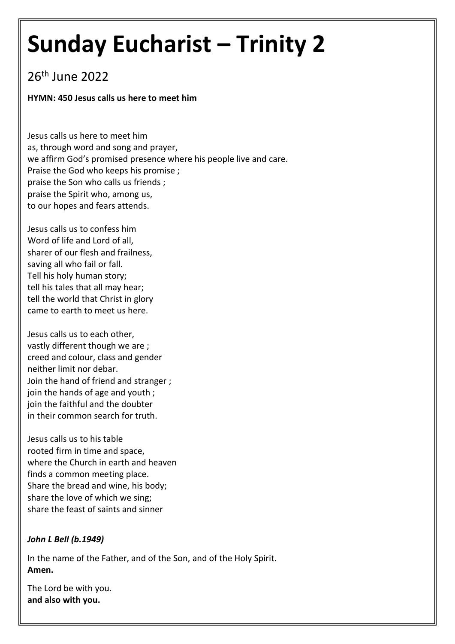# **Sunday Eucharist – Trinity 2**

# 26<sup>th</sup> June 2022

# **HYMN: 450 Jesus calls us here to meet him**

Jesus calls us here to meet him as, through word and song and prayer, we affirm God's promised presence where his people live and care. Praise the God who keeps his promise ; praise the Son who calls us friends ; praise the Spirit who, among us, to our hopes and fears attends.

Jesus calls us to confess him Word of life and Lord of all, sharer of our flesh and frailness, saving all who fail or fall. Tell his holy human story; tell his tales that all may hear; tell the world that Christ in glory came to earth to meet us here.

Jesus calls us to each other, vastly different though we are ; creed and colour, class and gender neither limit nor debar. Join the hand of friend and stranger ; join the hands of age and youth ; join the faithful and the doubter in their common search for truth.

Jesus calls us to his table rooted firm in time and space, where the Church in earth and heaven finds a common meeting place. Share the bread and wine, his body; share the love of which we sing; share the feast of saints and sinner

# *John L Bell (b.1949)*

In the name of the Father, and of the Son, and of the Holy Spirit. **Amen.**

The Lord be with you. **and also with you.**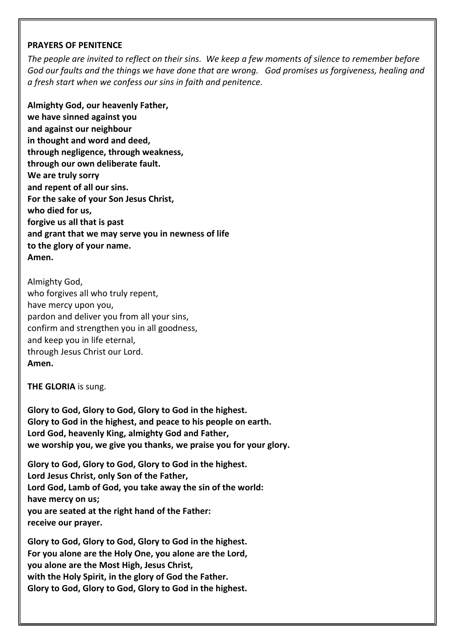#### **PRAYERS OF PENITENCE**

*The people are invited to reflect on their sins. We keep a few moments of silence to remember before God our faults and the things we have done that are wrong. God promises us forgiveness, healing and a fresh start when we confess our sins in faith and penitence.* 

**Almighty God, our heavenly Father, we have sinned against you and against our neighbour in thought and word and deed, through negligence, through weakness, through our own deliberate fault. We are truly sorry and repent of all our sins. For the sake of your Son Jesus Christ, who died for us, forgive us all that is past and grant that we may serve you in newness of life to the glory of your name. Amen.** 

Almighty God, who forgives all who truly repent, have mercy upon you, pardon and deliver you from all your sins, confirm and strengthen you in all goodness, and keep you in life eternal, through Jesus Christ our Lord. **Amen.** 

**THE GLORIA** is sung.

**Glory to God, Glory to God, Glory to God in the highest. Glory to God in the highest, and peace to his people on earth. Lord God, heavenly King, almighty God and Father, we worship you, we give you thanks, we praise you for your glory.**

**Glory to God, Glory to God, Glory to God in the highest. Lord Jesus Christ, only Son of the Father, Lord God, Lamb of God, you take away the sin of the world: have mercy on us; you are seated at the right hand of the Father: receive our prayer.**

**Glory to God, Glory to God, Glory to God in the highest. For you alone are the Holy One, you alone are the Lord, you alone are the Most High, Jesus Christ, with the Holy Spirit, in the glory of God the Father. Glory to God, Glory to God, Glory to God in the highest.**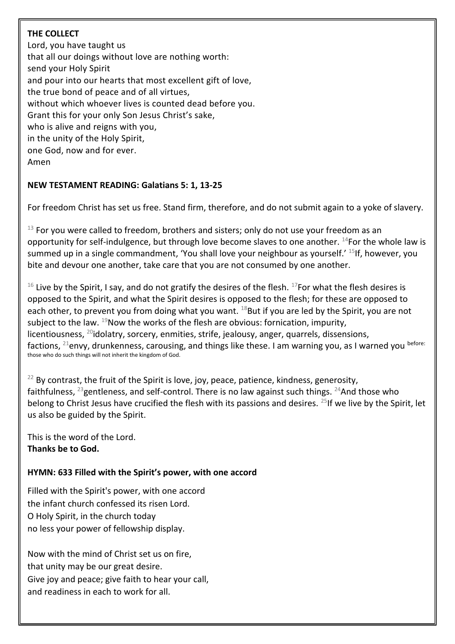# **THE COLLECT**

Lord, you have taught us that all our doings without love are nothing worth: send your Holy Spirit and pour into our hearts that most excellent gift of love, the true bond of peace and of all virtues, without which whoever lives is counted dead before you. Grant this for your only Son Jesus Christ's sake, who is alive and reigns with you, in the unity of the Holy Spirit, one God, now and for ever. Amen

# **NEW TESTAMENT READING: Galatians 5: 1, 13-25**

For freedom Christ has set us free. Stand firm, therefore, and do not submit again to a yoke of slavery.

 $13$  For you were called to freedom, brothers and sisters; only do not use your freedom as an opportunity for self-indulgence, but through love become slaves to one another. <sup>14</sup>For the whole law is summed up in a single commandment, 'You shall love your neighbour as yourself.' <sup>15</sup>If, however, you bite and devour one another, take care that you are not consumed by one another.

 $16$  Live by the Spirit, I say, and do not gratify the desires of the flesh.  $17$ For what the flesh desires is opposed to the Spirit, and what the Spirit desires is opposed to the flesh; for these are opposed to each other, to prevent you from doing what you want.  $^{18}$ But if you are led by the Spirit, you are not subject to the law.  $^{19}$ Now the works of the flesh are obvious: fornication, impurity, licentiousness,  $^{20}$ idolatry, sorcery, enmities, strife, jealousy, anger, quarrels, dissensions, factions,  $^{21}$ envy, drunkenness, carousing, and things like these. I am warning you, as I warned you before: those who do such things will not inherit the kingdom of God.

 $22$  By contrast, the fruit of the Spirit is love, joy, peace, patience, kindness, generosity, faithfulness,  $^{23}$ gentleness, and self-control. There is no law against such things.  $^{24}$ And those who belong to Christ Jesus have crucified the flesh with its passions and desires. <sup>25</sup>If we live by the Spirit, let us also be guided by the Spirit.

This is the word of the Lord. **Thanks be to God.** 

# **HYMN: 633 Filled with the Spirit's power, with one accord**

Filled with the Spirit's power, with one accord the infant church confessed its risen Lord. O Holy Spirit, in the church today no less your power of fellowship display.

Now with the mind of Christ set us on fire, that unity may be our great desire. Give joy and peace; give faith to hear your call, and readiness in each to work for all.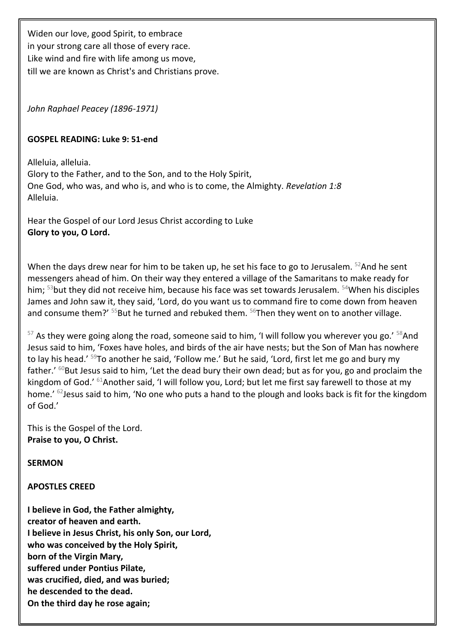Widen our love, good Spirit, to embrace in your strong care all those of every race. Like wind and fire with life among us move, till we are known as Christ's and Christians prove.

*John Raphael Peacey (1896-1971)*

# **GOSPEL READING: Luke 9: 51-end**

Alleluia, alleluia. Glory to the Father, and to the Son, and to the Holy Spirit, One God, who was, and who is, and who is to come, the Almighty. *Revelation 1:8* Alleluia.

Hear the Gospel of our Lord Jesus Christ according to Luke **Glory to you, O Lord.**

When the days drew near for him to be taken up, he set his face to go to Jerusalem. <sup>52</sup>And he sent messengers ahead of him. On their way they entered a village of the Samaritans to make ready for him; <sup>53</sup>but they did not receive him, because his face was set towards Jerusalem. <sup>54</sup>When his disciples James and John saw it, they said, 'Lord, do you want us to command fire to come down from heaven and consume them?'  $55$ But he turned and rebuked them.  $56$ Then they went on to another village.

 $57$  As they were going along the road, someone said to him, 'I will follow you wherever you go.'  $58$ And Jesus said to him, 'Foxes have holes, and birds of the air have nests; but the Son of Man has nowhere to lay his head.' <sup>59</sup>To another he said, 'Follow me.' But he said, 'Lord, first let me go and bury my father.'  $60$ But Jesus said to him, 'Let the dead bury their own dead; but as for you, go and proclaim the kingdom of God.' <sup>61</sup>Another said, 'I will follow you, Lord; but let me first say farewell to those at my home.' <sup>62</sup>Jesus said to him, 'No one who puts a hand to the plough and looks back is fit for the kingdom of God.'

This is the Gospel of the Lord. **Praise to you, O Christ.**

**SERMON**

#### **APOSTLES CREED**

**I believe in God, the Father almighty, creator of heaven and earth. I believe in Jesus Christ, his only Son, our Lord, who was conceived by the Holy Spirit, born of the Virgin Mary, suffered under Pontius Pilate, was crucified, died, and was buried; he descended to the dead. On the third day he rose again;**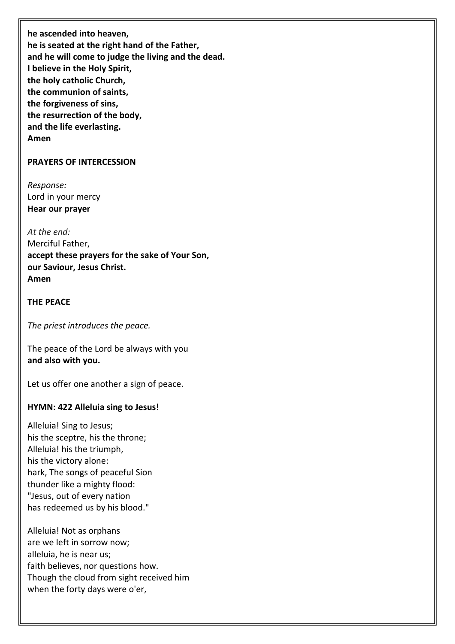**he ascended into heaven, he is seated at the right hand of the Father, and he will come to judge the living and the dead. I believe in the Holy Spirit, the holy catholic Church, the communion of saints, the forgiveness of sins, the resurrection of the body, and the life everlasting. Amen**

#### **PRAYERS OF INTERCESSION**

*Response:* Lord in your mercy **Hear our prayer**

*At the end:* Merciful Father, **accept these prayers for the sake of Your Son, our Saviour, Jesus Christ. Amen**

#### **THE PEACE**

*The priest introduces the peace.* 

The peace of the Lord be always with you **and also with you.**

Let us offer one another a sign of peace.

#### **HYMN: 422 Alleluia sing to Jesus!**

Alleluia! Sing to Jesus; his the sceptre, his the throne; Alleluia! his the triumph, his the victory alone: hark, The songs of peaceful Sion thunder like a mighty flood: "Jesus, out of every nation has redeemed us by his blood."

Alleluia! Not as orphans are we left in sorrow now; alleluia, he is near us; faith believes, nor questions how. Though the cloud from sight received him when the forty days were o'er,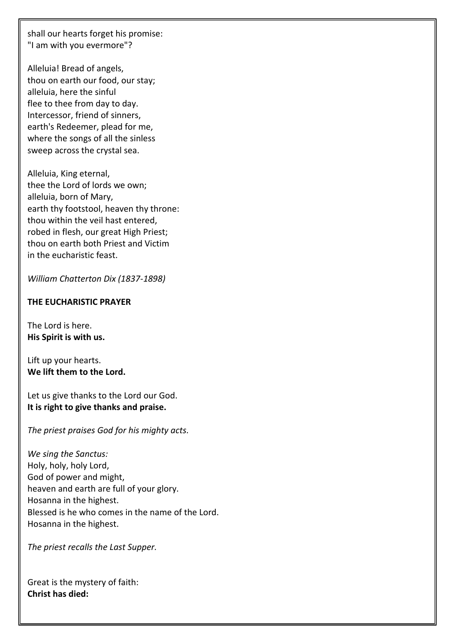shall our hearts forget his promise: "I am with you evermore"?

Alleluia! Bread of angels, thou on earth our food, our stay; alleluia, here the sinful flee to thee from day to day. Intercessor, friend of sinners, earth's Redeemer, plead for me, where the songs of all the sinless sweep across the crystal sea.

Alleluia, King eternal, thee the Lord of lords we own; alleluia, born of Mary, earth thy footstool, heaven thy throne: thou within the veil hast entered, robed in flesh, our great High Priest; thou on earth both Priest and Victim in the eucharistic feast.

*William Chatterton Dix (1837-1898)*

## **THE EUCHARISTIC PRAYER**

The Lord is here. **His Spirit is with us.**

Lift up your hearts. **We lift them to the Lord.**

Let us give thanks to the Lord our God. **It is right to give thanks and praise.**

*The priest praises God for his mighty acts.* 

*We sing the Sanctus:* Holy, holy, holy Lord, God of power and might, heaven and earth are full of your glory. Hosanna in the highest. Blessed is he who comes in the name of the Lord. Hosanna in the highest.

*The priest recalls the Last Supper.*

Great is the mystery of faith: **Christ has died:**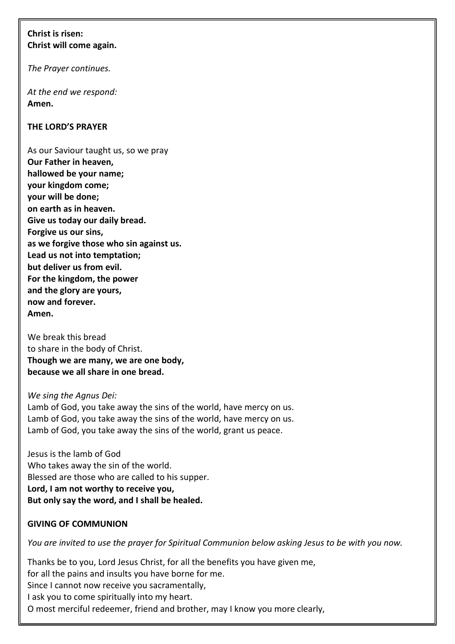# **Christ is risen: Christ will come again.**

*The Prayer continues.* 

*At the end we respond:*  **Amen.**

# **THE LORD'S PRAYER**

As our Saviour taught us, so we pray **Our Father in heaven, hallowed be your name; your kingdom come; your will be done; on earth as in heaven. Give us today our daily bread. Forgive us our sins, as we forgive those who sin against us. Lead us not into temptation; but deliver us from evil. For the kingdom, the power and the glory are yours, now and forever. Amen.**

We break this bread to share in the body of Christ. **Though we are many, we are one body, because we all share in one bread.** 

#### *We sing the Agnus Dei:*

Lamb of God, you take away the sins of the world, have mercy on us. Lamb of God, you take away the sins of the world, have mercy on us. Lamb of God, you take away the sins of the world, grant us peace.

Jesus is the lamb of God Who takes away the sin of the world. Blessed are those who are called to his supper. **Lord, I am not worthy to receive you, But only say the word, and I shall be healed.**

# **GIVING OF COMMUNION**

*You are invited to use the prayer for Spiritual Communion below asking Jesus to be with you now.* 

Thanks be to you, Lord Jesus Christ, for all the benefits you have given me, for all the pains and insults you have borne for me. Since I cannot now receive you sacramentally, I ask you to come spiritually into my heart. O most merciful redeemer, friend and brother, may I know you more clearly,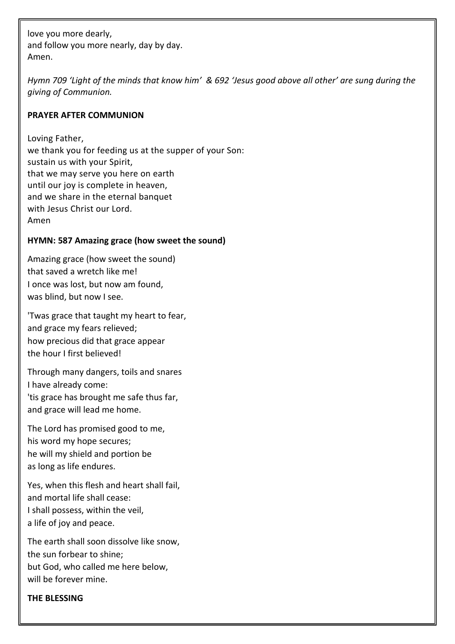love you more dearly, and follow you more nearly, day by day. Amen.

*Hymn 709 'Light of the minds that know him' & 692 'Jesus good above all other' are sung during the giving of Communion.*

# **PRAYER AFTER COMMUNION**

Loving Father, we thank you for feeding us at the supper of your Son: sustain us with your Spirit, that we may serve you here on earth until our joy is complete in heaven, and we share in the eternal banquet with Jesus Christ our Lord. Amen

# **HYMN: 587 Amazing grace (how sweet the sound)**

Amazing grace (how sweet the sound) that saved a wretch like me! I once was lost, but now am found, was blind, but now I see.

'Twas grace that taught my heart to fear, and grace my fears relieved; how precious did that grace appear the hour I first believed!

Through many dangers, toils and snares I have already come: 'tis grace has brought me safe thus far, and grace will lead me home.

The Lord has promised good to me, his word my hope secures; he will my shield and portion be as long as life endures.

Yes, when this flesh and heart shall fail, and mortal life shall cease: I shall possess, within the veil, a life of joy and peace.

The earth shall soon dissolve like snow, the sun forbear to shine; but God, who called me here below, will be forever mine.

#### **THE BLESSING**